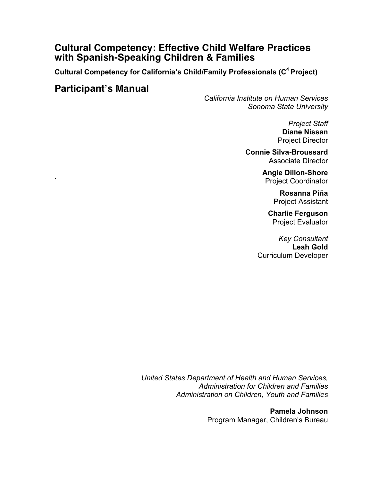# **Cultural Competency: Effective Child Welfare Practices with Spanish-Speaking Children & Families**

**Cultural Competency for California's Child/Family Professionals (C4 Project)**

# **Participant's Manual**

*California Institute on Human Services Sonoma State University*

> *Project Staff* **Diane Nissan** Project Director

**Connie Silva-Broussard** Associate Director

> **Angie Dillon-Shore** ` Project Coordinator

> > **Rosanna Piña** Project Assistant

**Charlie Ferguson** Project Evaluator

*Key Consultant* **Leah Gold** Curriculum Developer

*United States Department of Health and Human Services, Administration for Children and Families Administration on Children, Youth and Families*

> **Pamela Johnson** Program Manager, Children's Bureau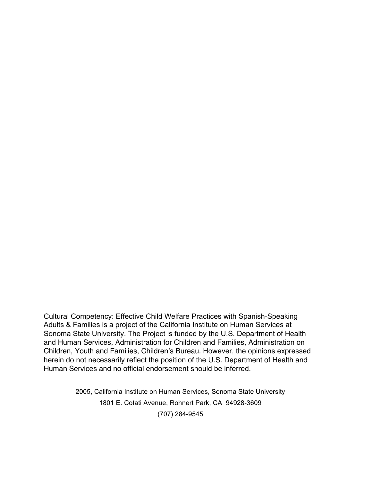Cultural Competency: Effective Child Welfare Practices with Spanish-Speaking Adults & Families is a project of the California Institute on Human Services at Sonoma State University. The Project is funded by the U.S. Department of Health and Human Services, Administration for Children and Families, Administration on Children, Youth and Families, Children's Bureau. However, the opinions expressed herein do not necessarily reflect the position of the U.S. Department of Health and Human Services and no official endorsement should be inferred.

> 2005, California Institute on Human Services, Sonoma State University 1801 E. Cotati Avenue, Rohnert Park, CA 94928-3609 (707) 284-9545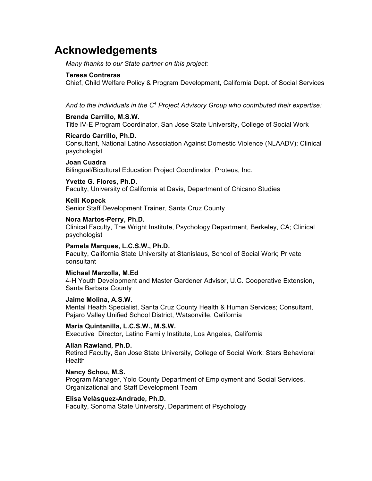# **Acknowledgements**

*Many thanks to our State partner on this project:*

#### **Teresa Contreras**

Chief, Child Welfare Policy & Program Development, California Dept. of Social Services

*And to the individuals in the C<sup>4</sup> Project Advisory Group who contributed their expertise:*

#### **Brenda Carrillo, M.S.W.**

Title IV-E Program Coordinator, San Jose State University, College of Social Work

#### **Ricardo Carrillo, Ph.D.**

Consultant, National Latino Association Against Domestic Violence (NLAADV); Clinical psychologist

#### **Joan Cuadra**

Bilingual/Bicultural Education Project Coordinator, Proteus, Inc.

#### **Yvette G. Flores, Ph.D.**

Faculty, University of California at Davis, Department of Chicano Studies

# **Kelli Kopeck**

Senior Staff Development Trainer, Santa Cruz County

#### **Nora Martos-Perry, Ph.D.**

Clinical Faculty, The Wright Institute, Psychology Department, Berkeley, CA; Clinical psychologist

#### **Pamela Marques, L.C.S.W., Ph.D.**

Faculty, California State University at Stanislaus, School of Social Work; Private consultant

#### **Michael Marzolla, M.Ed**

4-H Youth Development and Master Gardener Advisor, U.C. Cooperative Extension, Santa Barbara County

#### **Jaime Molina, A.S.W.**

Mental Health Specialist, Santa Cruz County Health & Human Services; Consultant, Pajaro Valley Unified School District, Watsonville, California

#### **Maria Quintanilla, L.C.S.W., M.S.W.**

Executive Director, Latino Family Institute, Los Angeles, California

#### **Allan Rawland, Ph.D.**

Retired Faculty, San Jose State University, College of Social Work; Stars Behavioral **Health** 

#### **Nancy Schou, M.S.**

Program Manager, Yolo County Department of Employment and Social Services, Organizational and Staff Development Team

#### **Elisa Velàsquez-Andrade, Ph.D.**

Faculty, Sonoma State University, Department of Psychology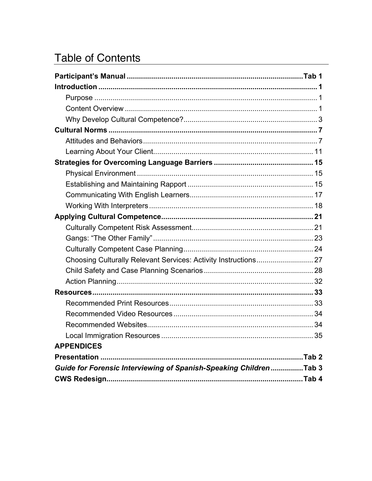# **Table of Contents**

| <b>APPENDICES</b>                                                  |  |
|--------------------------------------------------------------------|--|
|                                                                    |  |
| Guide for Forensic Interviewing of Spanish-Speaking Children Tab 3 |  |
|                                                                    |  |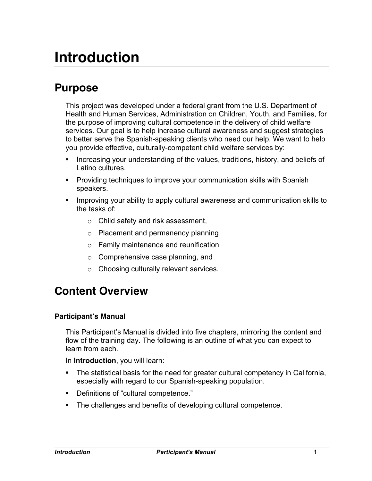# **Introduction**

# **Purpose**

This project was developed under a federal grant from the U.S. Department of Health and Human Services, Administration on Children, Youth, and Families, for the purpose of improving cultural competence in the delivery of child welfare services. Our goal is to help increase cultural awareness and suggest strategies to better serve the Spanish-speaking clients who need our help. We want to help you provide effective, culturally-competent child welfare services by:

- Increasing your understanding of the values, traditions, history, and beliefs of Latino cultures.
- Providing techniques to improve your communication skills with Spanish speakers.
- § Improving your ability to apply cultural awareness and communication skills to the tasks of:
	- o Child safety and risk assessment,
	- o Placement and permanency planning
	- o Family maintenance and reunification
	- o Comprehensive case planning, and
	- o Choosing culturally relevant services.

# **Content Overview**

#### **Participant's Manual**

This Participant's Manual is divided into five chapters, mirroring the content and flow of the training day. The following is an outline of what you can expect to learn from each.

In **Introduction**, you will learn:

- The statistical basis for the need for greater cultural competency in California, especially with regard to our Spanish-speaking population.
- Definitions of "cultural competence."
- The challenges and benefits of developing cultural competence.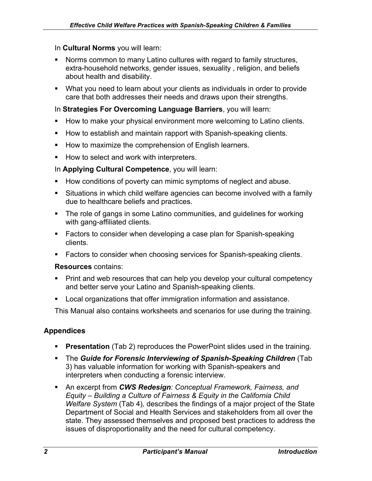#### In **Cultural Norms** you will learn:

- Norms common to many Latino cultures with regard to family structures, extra-household networks, gender issues, sexuality , religion, and beliefs about health and disability.
- What you need to learn about your clients as individuals in order to provide care that both addresses their needs and draws upon their strengths.

In **Strategies For Overcoming Language Barriers**, you will learn:

- How to make your physical environment more welcoming to Latino clients.
- How to establish and maintain rapport with Spanish-speaking clients.
- How to maximize the comprehension of English learners.
- How to select and work with interpreters.

In **Applying Cultural Competence**, you will learn:

- How conditions of poverty can mimic symptoms of neglect and abuse.
- Situations in which child welfare agencies can become involved with a family due to healthcare beliefs and practices.
- The role of gangs in some Latino communities, and guidelines for working with gang-affiliated clients.
- Factors to consider when developing a case plan for Spanish-speaking clients.
- Factors to consider when choosing services for Spanish-speaking clients.

#### **Resources** contains:

- Print and web resources that can help you develop your cultural competency and better serve your Latino and Spanish-speaking clients.
- Local organizations that offer immigration information and assistance.

This Manual also contains worksheets and scenarios for use during the training.

#### **Appendices**

- **Presentation** (Tab 2) reproduces the PowerPoint slides used in the training.
- § The *Guide for Forensic Interviewing of Spanish-Speaking Children* (Tab 3) has valuable information for working with Spanish-speakers and interpreters when conducting a forensic interview.
- An excerpt from **CWS Redesign**: Conceptual Framework, Fairness, and *Equity – Building a Culture of Fairness & Equity in the California Child Welfare System* (Tab 4)*,* describes the findings of a major project of the State Department of Social and Health Services and stakeholders from all over the state. They assessed themselves and proposed best practices to address the issues of disproportionality and the need for cultural competency.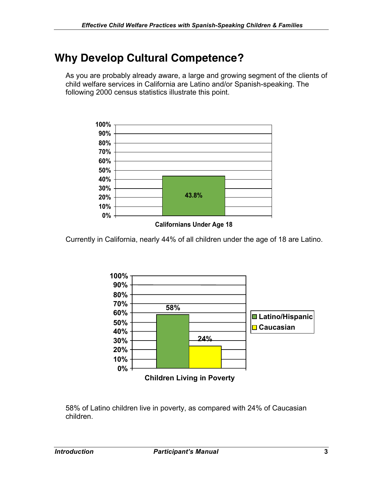# **Why Develop Cultural Competence?**

As you are probably already aware, a large and growing segment of the clients of child welfare services in California are Latino and/or Spanish-speaking. The following 2000 census statistics illustrate this point.



#### **Californians Under Age 18**

Currently in California, nearly 44% of all children under the age of 18 are Latino.



58% of Latino children live in poverty, as compared with 24% of Caucasian children.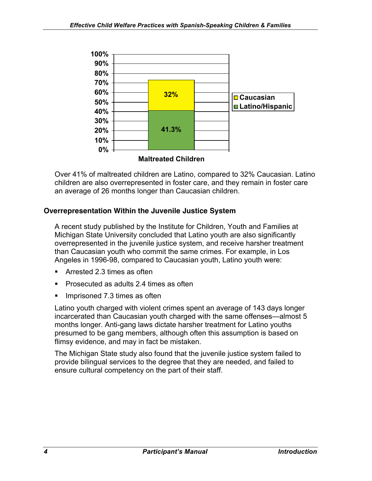

Over 41% of maltreated children are Latino, compared to 32% Caucasian. Latino children are also overrepresented in foster care, and they remain in foster care an average of 26 months longer than Caucasian children.

### **Overrepresentation Within the Juvenile Justice System**

A recent study published by the Institute for Children, Youth and Families at Michigan State University concluded that Latino youth are also significantly overrepresented in the juvenile justice system, and receive harsher treatment than Caucasian youth who commit the same crimes. For example, in Los Angeles in 1996-98, compared to Caucasian youth, Latino youth were:

- Arrested 2.3 times as often
- § Prosecuted as adults 2.4 times as often
- Imprisoned 7.3 times as often

Latino youth charged with violent crimes spent an average of 143 days longer incarcerated than Caucasian youth charged with the same offenses—almost 5 months longer. Anti-gang laws dictate harsher treatment for Latino youths presumed to be gang members, although often this assumption is based on flimsy evidence, and may in fact be mistaken.

The Michigan State study also found that the juvenile justice system failed to provide bilingual services to the degree that they are needed, and failed to ensure cultural competency on the part of their staff.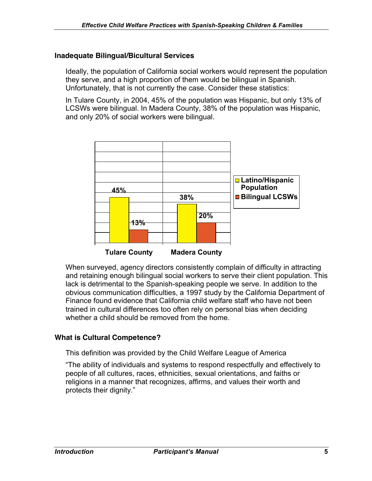#### **Inadequate Bilingual/Bicultural Services**

Ideally, the population of California social workers would represent the population they serve, and a high proportion of them would be bilingual in Spanish. Unfortunately, that is not currently the case. Consider these statistics:

In Tulare County, in 2004, 45% of the population was Hispanic, but only 13% of LCSWs were bilingual. In Madera County, 38% of the population was Hispanic, and only 20% of social workers were bilingual.



When surveyed, agency directors consistently complain of difficulty in attracting and retaining enough bilingual social workers to serve their client population. This lack is detrimental to the Spanish-speaking people we serve. In addition to the obvious communication difficulties, a 1997 study by the California Department of Finance found evidence that California child welfare staff who have not been trained in cultural differences too often rely on personal bias when deciding whether a child should be removed from the home.

#### **What is Cultural Competence?**

This definition was provided by the Child Welfare League of America

"The ability of individuals and systems to respond respectfully and effectively to people of all cultures, races, ethnicities, sexual orientations, and faiths or religions in a manner that recognizes, affirms, and values their worth and protects their dignity."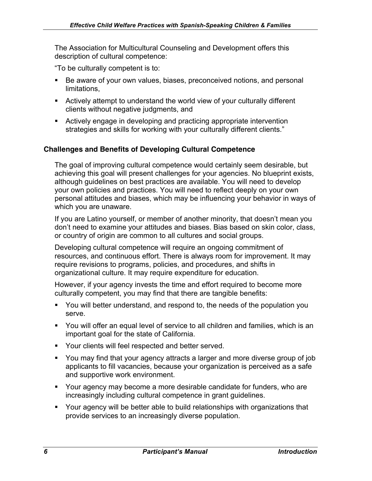The Association for Multicultural Counseling and Development offers this description of cultural competence:

"To be culturally competent is to:

- Be aware of your own values, biases, preconceived notions, and personal limitations,
- **EXTERN** Actively attempt to understand the world view of your culturally different clients without negative judgments, and
- Actively engage in developing and practicing appropriate intervention strategies and skills for working with your culturally different clients."

# **Challenges and Benefits of Developing Cultural Competence**

The goal of improving cultural competence would certainly seem desirable, but achieving this goal will present challenges for your agencies. No blueprint exists, although guidelines on best practices are available. You will need to develop your own policies and practices. You will need to reflect deeply on your own personal attitudes and biases, which may be influencing your behavior in ways of which you are unaware.

If you are Latino yourself, or member of another minority, that doesn't mean you don't need to examine your attitudes and biases. Bias based on skin color, class, or country of origin are common to all cultures and social groups.

Developing cultural competence will require an ongoing commitment of resources, and continuous effort. There is always room for improvement. It may require revisions to programs, policies, and procedures, and shifts in organizational culture. It may require expenditure for education.

However, if your agency invests the time and effort required to become more culturally competent, you may find that there are tangible benefits:

- § You will better understand, and respond to, the needs of the population you serve.
- You will offer an equal level of service to all children and families, which is an important goal for the state of California.
- Your clients will feel respected and better served.
- § You may find that your agency attracts a larger and more diverse group of job applicants to fill vacancies, because your organization is perceived as a safe and supportive work environment.
- § Your agency may become a more desirable candidate for funders, who are increasingly including cultural competence in grant guidelines.
- § Your agency will be better able to build relationships with organizations that provide services to an increasingly diverse population.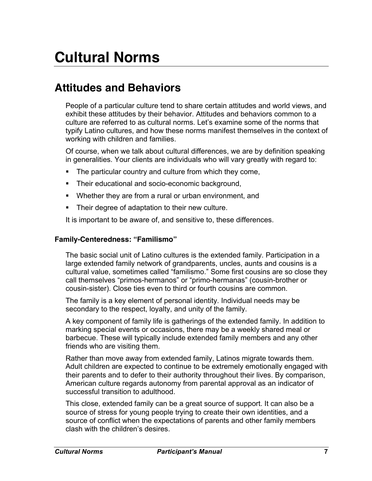# **Attitudes and Behaviors**

People of a particular culture tend to share certain attitudes and world views, and exhibit these attitudes by their behavior. Attitudes and behaviors common to a culture are referred to as cultural norms. Let's examine some of the norms that typify Latino cultures, and how these norms manifest themselves in the context of working with children and families.

Of course, when we talk about cultural differences, we are by definition speaking in generalities. Your clients are individuals who will vary greatly with regard to:

- The particular country and culture from which they come,
- Their educational and socio-economic background,
- Whether they are from a rural or urban environment, and
- Their degree of adaptation to their new culture.

It is important to be aware of, and sensitive to, these differences.

#### **Family-Centeredness: "Familismo"**

The basic social unit of Latino cultures is the extended family. Participation in a large extended family network of grandparents, uncles, aunts and cousins is a cultural value, sometimes called "familismo." Some first cousins are so close they call themselves "primos-hermanos" or "primo-hermanas" (cousin-brother or cousin-sister). Close ties even to third or fourth cousins are common.

The family is a key element of personal identity. Individual needs may be secondary to the respect, loyalty, and unity of the family.

A key component of family life is gatherings of the extended family. In addition to marking special events or occasions, there may be a weekly shared meal or barbecue. These will typically include extended family members and any other friends who are visiting them.

Rather than move away from extended family, Latinos migrate towards them. Adult children are expected to continue to be extremely emotionally engaged with their parents and to defer to their authority throughout their lives. By comparison, American culture regards autonomy from parental approval as an indicator of successful transition to adulthood.

This close, extended family can be a great source of support. It can also be a source of stress for young people trying to create their own identities, and a source of conflict when the expectations of parents and other family members clash with the children's desires.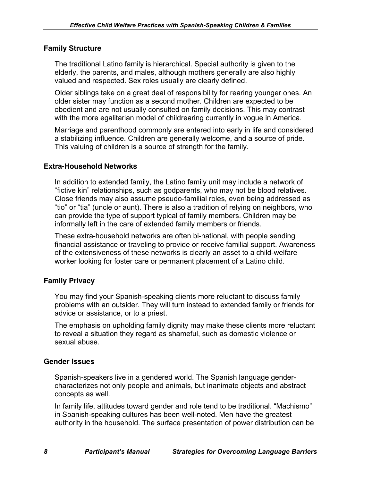#### **Family Structure**

The traditional Latino family is hierarchical. Special authority is given to the elderly, the parents, and males, although mothers generally are also highly valued and respected. Sex roles usually are clearly defined.

Older siblings take on a great deal of responsibility for rearing younger ones. An older sister may function as a second mother. Children are expected to be obedient and are not usually consulted on family decisions. This may contrast with the more egalitarian model of childrearing currently in vogue in America.

Marriage and parenthood commonly are entered into early in life and considered a stabilizing influence. Children are generally welcome, and a source of pride. This valuing of children is a source of strength for the family.

#### **Extra-Household Networks**

In addition to extended family, the Latino family unit may include a network of "fictive kin" relationships, such as godparents, who may not be blood relatives. Close friends may also assume pseudo-familial roles, even being addressed as "tio" or "tia" (uncle or aunt). There is also a tradition of relying on neighbors, who can provide the type of support typical of family members. Children may be informally left in the care of extended family members or friends.

These extra-household networks are often bi-national, with people sending financial assistance or traveling to provide or receive familial support. Awareness of the extensiveness of these networks is clearly an asset to a child-welfare worker looking for foster care or permanent placement of a Latino child.

#### **Family Privacy**

You may find your Spanish-speaking clients more reluctant to discuss family problems with an outsider. They will turn instead to extended family or friends for advice or assistance, or to a priest.

The emphasis on upholding family dignity may make these clients more reluctant to reveal a situation they regard as shameful, such as domestic violence or sexual abuse.

#### **Gender Issues**

Spanish-speakers live in a gendered world. The Spanish language gendercharacterizes not only people and animals, but inanimate objects and abstract concepts as well.

In family life, attitudes toward gender and role tend to be traditional. "Machismo" in Spanish-speaking cultures has been well-noted. Men have the greatest authority in the household. The surface presentation of power distribution can be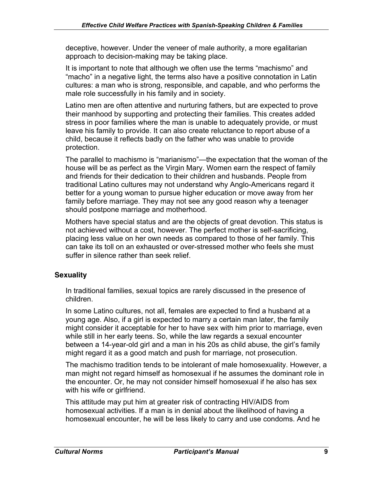deceptive, however. Under the veneer of male authority, a more egalitarian approach to decision-making may be taking place.

It is important to note that although we often use the terms "machismo" and "macho" in a negative light, the terms also have a positive connotation in Latin cultures: a man who is strong, responsible, and capable, and who performs the male role successfully in his family and in society.

Latino men are often attentive and nurturing fathers, but are expected to prove their manhood by supporting and protecting their families. This creates added stress in poor families where the man is unable to adequately provide, or must leave his family to provide. It can also create reluctance to report abuse of a child, because it reflects badly on the father who was unable to provide protection.

The parallel to machismo is "marianismo"—the expectation that the woman of the house will be as perfect as the Virgin Mary. Women earn the respect of family and friends for their dedication to their children and husbands. People from traditional Latino cultures may not understand why Anglo-Americans regard it better for a young woman to pursue higher education or move away from her family before marriage. They may not see any good reason why a teenager should postpone marriage and motherhood.

Mothers have special status and are the objects of great devotion. This status is not achieved without a cost, however. The perfect mother is self-sacrificing, placing less value on her own needs as compared to those of her family. This can take its toll on an exhausted or over-stressed mother who feels she must suffer in silence rather than seek relief.

### **Sexuality**

In traditional families, sexual topics are rarely discussed in the presence of children.

In some Latino cultures, not all, females are expected to find a husband at a young age. Also, if a girl is expected to marry a certain man later, the family might consider it acceptable for her to have sex with him prior to marriage, even while still in her early teens. So, while the law regards a sexual encounter between a 14-year-old girl and a man in his 20s as child abuse, the girl's family might regard it as a good match and push for marriage, not prosecution.

The machismo tradition tends to be intolerant of male homosexuality. However, a man might not regard himself as homosexual if he assumes the dominant role in the encounter. Or, he may not consider himself homosexual if he also has sex with his wife or girlfriend.

This attitude may put him at greater risk of contracting HIV/AIDS from homosexual activities. If a man is in denial about the likelihood of having a homosexual encounter, he will be less likely to carry and use condoms. And he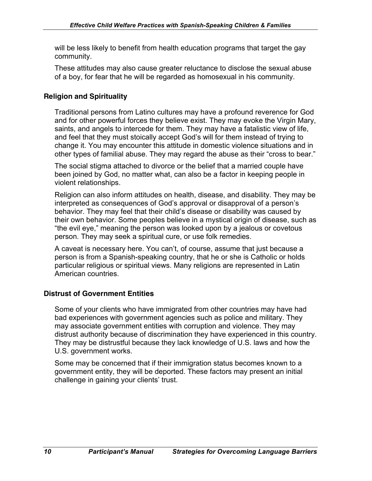will be less likely to benefit from health education programs that target the gay community.

These attitudes may also cause greater reluctance to disclose the sexual abuse of a boy, for fear that he will be regarded as homosexual in his community.

### **Religion and Spirituality**

Traditional persons from Latino cultures may have a profound reverence for God and for other powerful forces they believe exist. They may evoke the Virgin Mary, saints, and angels to intercede for them. They may have a fatalistic view of life, and feel that they must stoically accept God's will for them instead of trying to change it. You may encounter this attitude in domestic violence situations and in other types of familial abuse. They may regard the abuse as their "cross to bear."

The social stigma attached to divorce or the belief that a married couple have been joined by God, no matter what, can also be a factor in keeping people in violent relationships.

Religion can also inform attitudes on health, disease, and disability. They may be interpreted as consequences of God's approval or disapproval of a person's behavior. They may feel that their child's disease or disability was caused by their own behavior. Some peoples believe in a mystical origin of disease, such as "the evil eye," meaning the person was looked upon by a jealous or covetous person. They may seek a spiritual cure, or use folk remedies.

A caveat is necessary here. You can't, of course, assume that just because a person is from a Spanish-speaking country, that he or she is Catholic or holds particular religious or spiritual views. Many religions are represented in Latin American countries.

### **Distrust of Government Entities**

Some of your clients who have immigrated from other countries may have had bad experiences with government agencies such as police and military. They may associate government entities with corruption and violence. They may distrust authority because of discrimination they have experienced in this country. They may be distrustful because they lack knowledge of U.S. laws and how the U.S. government works.

Some may be concerned that if their immigration status becomes known to a government entity, they will be deported. These factors may present an initial challenge in gaining your clients' trust.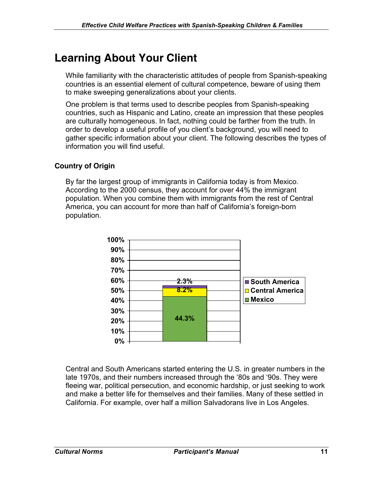# **Learning About Your Client**

While familiarity with the characteristic attitudes of people from Spanish-speaking countries is an essential element of cultural competence, beware of using them to make sweeping generalizations about your clients.

One problem is that terms used to describe peoples from Spanish-speaking countries, such as Hispanic and Latino, create an impression that these peoples are culturally homogeneous. In fact, nothing could be farther from the truth. In order to develop a useful profile of you client's background, you will need to gather specific information about your client. The following describes the types of information you will find useful.

### **Country of Origin**

By far the largest group of immigrants in California today is from Mexico. According to the 2000 census, they account for over 44% the immigrant population. When you combine them with immigrants from the rest of Central America, you can account for more than half of California's foreign-born population.



Central and South Americans started entering the U.S. in greater numbers in the late 1970s, and their numbers increased through the '80s and '90s. They were fleeing war, political persecution, and economic hardship, or just seeking to work and make a better life for themselves and their families. Many of these settled in California. For example, over half a million Salvadorans live in Los Angeles.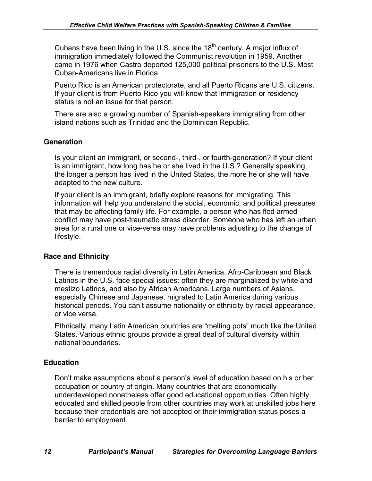Cubans have been living in the U.S. since the  $18<sup>th</sup>$  century. A major influx of immigration immediately followed the Communist revolution in 1959. Another came in 1976 when Castro deported 125,000 political prisoners to the U.S. Most Cuban-Americans live in Florida.

Puerto Rico is an American protectorate, and all Puerto Ricans are U.S. citizens. If your client is from Puerto Rico you will know that immigration or residency status is not an issue for that person.

There are also a growing number of Spanish-speakers immigrating from other island nations such as Trinidad and the Dominican Republic.

# **Generation**

Is your client an immigrant, or second-, third-, or fourth-generation? If your client is an immigrant, how long has he or she lived in the U.S.? Generally speaking, the longer a person has lived in the United States, the more he or she will have adapted to the new culture.

If your client is an immigrant, briefly explore reasons for immigrating. This information will help you understand the social, economic, and political pressures that may be affecting family life. For example, a person who has fled armed conflict may have post-traumatic stress disorder. Someone who has left an urban area for a rural one or vice-versa may have problems adjusting to the change of lifestyle.

### **Race and Ethnicity**

There is tremendous racial diversity in Latin America. Afro-Caribbean and Black Latinos in the U.S. face special issues: often they are marginalized by white and mestizo Latinos, and also by African Americans. Large numbers of Asians, especially Chinese and Japanese, migrated to Latin America during various historical periods. You can't assume nationality or ethnicity by racial appearance, or vice versa.

Ethnically, many Latin American countries are "melting pots" much like the United States. Various ethnic groups provide a great deal of cultural diversity within national boundaries.

### **Education**

Don't make assumptions about a person's level of education based on his or her occupation or country of origin. Many countries that are economically underdeveloped nonetheless offer good educational opportunities. Often highly educated and skilled people from other countries may work at unskilled jobs here because their credentials are not accepted or their immigration status poses a barrier to employment.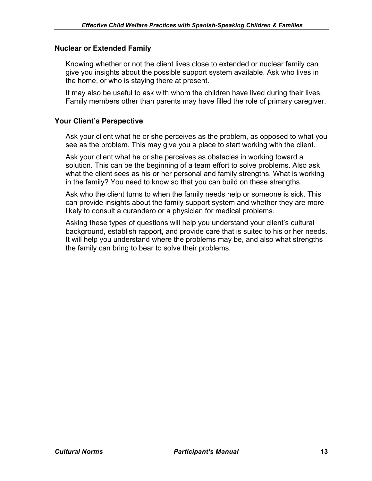#### **Nuclear or Extended Family**

Knowing whether or not the client lives close to extended or nuclear family can give you insights about the possible support system available. Ask who lives in the home, or who is staying there at present.

It may also be useful to ask with whom the children have lived during their lives. Family members other than parents may have filled the role of primary caregiver.

#### **Your Client's Perspective**

Ask your client what he or she perceives as the problem, as opposed to what you see as the problem. This may give you a place to start working with the client.

Ask your client what he or she perceives as obstacles in working toward a solution. This can be the beginning of a team effort to solve problems. Also ask what the client sees as his or her personal and family strengths. What is working in the family? You need to know so that you can build on these strengths.

Ask who the client turns to when the family needs help or someone is sick. This can provide insights about the family support system and whether they are more likely to consult a curandero or a physician for medical problems.

Asking these types of questions will help you understand your client's cultural background, establish rapport, and provide care that is suited to his or her needs. It will help you understand where the problems may be, and also what strengths the family can bring to bear to solve their problems.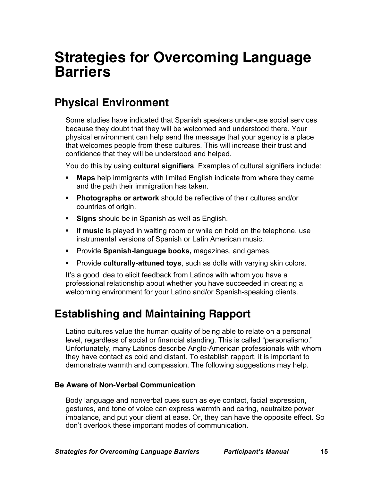# **Strategies for Overcoming Language Barriers**

# **Physical Environment**

Some studies have indicated that Spanish speakers under-use social services because they doubt that they will be welcomed and understood there. Your physical environment can help send the message that your agency is a place that welcomes people from these cultures. This will increase their trust and confidence that they will be understood and helped.

You do this by using **cultural signifiers**. Examples of cultural signifiers include:

- § **Maps** help immigrants with limited English indicate from where they came and the path their immigration has taken.
- § **Photographs or artwork** should be reflective of their cultures and/or countries of origin.
- **Signs** should be in Spanish as well as English.
- **Fig. 15 If music** is played in waiting room or while on hold on the telephone, use instrumental versions of Spanish or Latin American music.
- **Provide Spanish-language books, magazines, and games.**
- **Provide culturally-attuned toys**, such as dolls with varying skin colors.

It's a good idea to elicit feedback from Latinos with whom you have a professional relationship about whether you have succeeded in creating a welcoming environment for your Latino and/or Spanish-speaking clients.

# **Establishing and Maintaining Rapport**

Latino cultures value the human quality of being able to relate on a personal level, regardless of social or financial standing. This is called "personalismo." Unfortunately, many Latinos describe Anglo-American professionals with whom they have contact as cold and distant. To establish rapport, it is important to demonstrate warmth and compassion. The following suggestions may help.

#### **Be Aware of Non-Verbal Communication**

Body language and nonverbal cues such as eye contact, facial expression, gestures, and tone of voice can express warmth and caring, neutralize power imbalance, and put your client at ease. Or, they can have the opposite effect. So don't overlook these important modes of communication.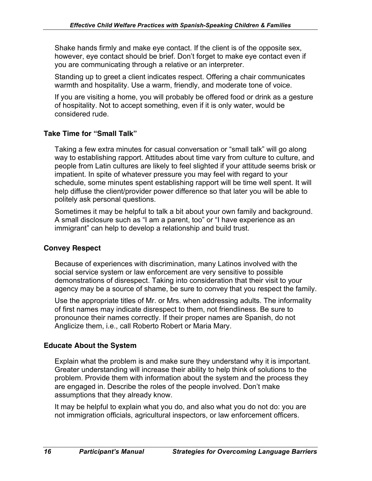Shake hands firmly and make eye contact. If the client is of the opposite sex, however, eye contact should be brief. Don't forget to make eye contact even if you are communicating through a relative or an interpreter.

Standing up to greet a client indicates respect. Offering a chair communicates warmth and hospitality. Use a warm, friendly, and moderate tone of voice.

If you are visiting a home, you will probably be offered food or drink as a gesture of hospitality. Not to accept something, even if it is only water, would be considered rude.

# **Take Time for "Small Talk"**

Taking a few extra minutes for casual conversation or "small talk" will go along way to establishing rapport. Attitudes about time vary from culture to culture, and people from Latin cultures are likely to feel slighted if your attitude seems brisk or impatient. In spite of whatever pressure you may feel with regard to your schedule, some minutes spent establishing rapport will be time well spent. It will help diffuse the client/provider power difference so that later you will be able to politely ask personal questions.

Sometimes it may be helpful to talk a bit about your own family and background. A small disclosure such as "I am a parent, too" or "I have experience as an immigrant" can help to develop a relationship and build trust.

### **Convey Respect**

Because of experiences with discrimination, many Latinos involved with the social service system or law enforcement are very sensitive to possible demonstrations of disrespect. Taking into consideration that their visit to your agency may be a source of shame, be sure to convey that you respect the family.

Use the appropriate titles of Mr. or Mrs. when addressing adults. The informality of first names may indicate disrespect to them, not friendliness. Be sure to pronounce their names correctly. If their proper names are Spanish, do not Anglicize them, i.e., call Roberto Robert or Maria Mary.

### **Educate About the System**

Explain what the problem is and make sure they understand why it is important. Greater understanding will increase their ability to help think of solutions to the problem. Provide them with information about the system and the process they are engaged in. Describe the roles of the people involved. Don't make assumptions that they already know.

It may be helpful to explain what you do, and also what you do not do: you are not immigration officials, agricultural inspectors, or law enforcement officers.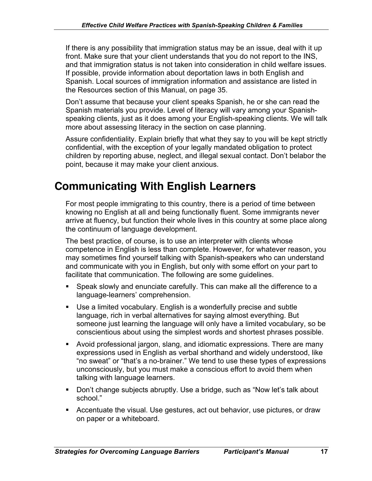If there is any possibility that immigration status may be an issue, deal with it up front. Make sure that your client understands that you do not report to the INS, and that immigration status is not taken into consideration in child welfare issues. If possible, provide information about deportation laws in both English and Spanish. Local sources of immigration information and assistance are listed in the Resources section of this Manual, on page 35.

Don't assume that because your client speaks Spanish, he or she can read the Spanish materials you provide. Level of literacy will vary among your Spanishspeaking clients, just as it does among your English-speaking clients. We will talk more about assessing literacy in the section on case planning.

Assure confidentiality. Explain briefly that what they say to you will be kept strictly confidential, with the exception of your legally mandated obligation to protect children by reporting abuse, neglect, and illegal sexual contact. Don't belabor the point, because it may make your client anxious.

# **Communicating With English Learners**

For most people immigrating to this country, there is a period of time between knowing no English at all and being functionally fluent. Some immigrants never arrive at fluency, but function their whole lives in this country at some place along the continuum of language development.

The best practice, of course, is to use an interpreter with clients whose competence in English is less than complete. However, for whatever reason, you may sometimes find yourself talking with Spanish-speakers who can understand and communicate with you in English, but only with some effort on your part to facilitate that communication. The following are some guidelines.

- Speak slowly and enunciate carefully. This can make all the difference to a language-learners' comprehension.
- Use a limited vocabulary. English is a wonderfully precise and subtle language, rich in verbal alternatives for saying almost everything. But someone just learning the language will only have a limited vocabulary, so be conscientious about using the simplest words and shortest phrases possible.
- § Avoid professional jargon, slang, and idiomatic expressions. There are many expressions used in English as verbal shorthand and widely understood, like "no sweat" or "that's a no-brainer." We tend to use these types of expressions unconsciously, but you must make a conscious effort to avoid them when talking with language learners.
- Don't change subjects abruptly. Use a bridge, such as "Now let's talk about school."
- Accentuate the visual. Use gestures, act out behavior, use pictures, or draw on paper or a whiteboard.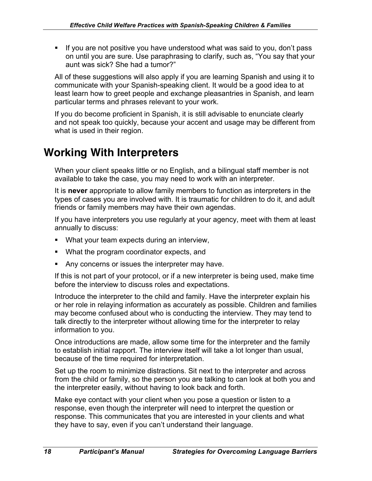§ If you are not positive you have understood what was said to you, don't pass on until you are sure. Use paraphrasing to clarify, such as, "You say that your aunt was sick? She had a tumor?"

All of these suggestions will also apply if you are learning Spanish and using it to communicate with your Spanish-speaking client. It would be a good idea to at least learn how to greet people and exchange pleasantries in Spanish, and learn particular terms and phrases relevant to your work.

If you do become proficient in Spanish, it is still advisable to enunciate clearly and not speak too quickly, because your accent and usage may be different from what is used in their region.

# **Working With Interpreters**

When your client speaks little or no English, and a bilingual staff member is not available to take the case, you may need to work with an interpreter.

It is **never** appropriate to allow family members to function as interpreters in the types of cases you are involved with. It is traumatic for children to do it, and adult friends or family members may have their own agendas.

If you have interpreters you use regularly at your agency, meet with them at least annually to discuss:

- What your team expects during an interview,
- What the program coordinator expects, and
- Any concerns or issues the interpreter may have.

If this is not part of your protocol, or if a new interpreter is being used, make time before the interview to discuss roles and expectations.

Introduce the interpreter to the child and family. Have the interpreter explain his or her role in relaying information as accurately as possible. Children and families may become confused about who is conducting the interview. They may tend to talk directly to the interpreter without allowing time for the interpreter to relay information to you.

Once introductions are made, allow some time for the interpreter and the family to establish initial rapport. The interview itself will take a lot longer than usual, because of the time required for interpretation.

Set up the room to minimize distractions. Sit next to the interpreter and across from the child or family, so the person you are talking to can look at both you and the interpreter easily, without having to look back and forth.

Make eye contact with your client when you pose a question or listen to a response, even though the interpreter will need to interpret the question or response. This communicates that you are interested in your clients and what they have to say, even if you can't understand their language.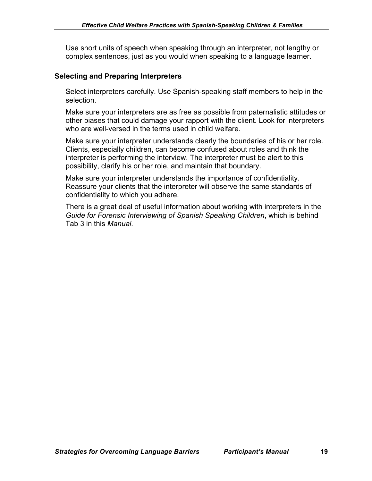Use short units of speech when speaking through an interpreter, not lengthy or complex sentences, just as you would when speaking to a language learner.

#### **Selecting and Preparing Interpreters**

Select interpreters carefully. Use Spanish-speaking staff members to help in the selection.

Make sure your interpreters are as free as possible from paternalistic attitudes or other biases that could damage your rapport with the client. Look for interpreters who are well-versed in the terms used in child welfare.

Make sure your interpreter understands clearly the boundaries of his or her role. Clients, especially children, can become confused about roles and think the interpreter is performing the interview. The interpreter must be alert to this possibility, clarify his or her role, and maintain that boundary.

Make sure your interpreter understands the importance of confidentiality. Reassure your clients that the interpreter will observe the same standards of confidentiality to which you adhere.

There is a great deal of useful information about working with interpreters in the *Guide for Forensic Interviewing of Spanish Speaking Children*, which is behind Tab 3 in this *Manual.*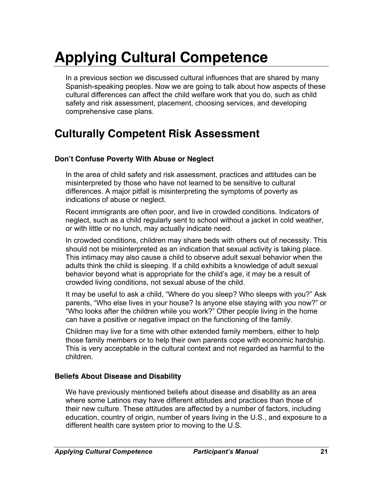# **Applying Cultural Competence**

In a previous section we discussed cultural influences that are shared by many Spanish-speaking peoples. Now we are going to talk about how aspects of these cultural differences can affect the child welfare work that you do, such as child safety and risk assessment, placement, choosing services, and developing comprehensive case plans.

# **Culturally Competent Risk Assessment**

### **Don't Confuse Poverty With Abuse or Neglect**

In the area of child safety and risk assessment, practices and attitudes can be misinterpreted by those who have not learned to be sensitive to cultural differences. A major pitfall is misinterpreting the symptoms of poverty as indications of abuse or neglect.

Recent immigrants are often poor, and live in crowded conditions. Indicators of neglect, such as a child regularly sent to school without a jacket in cold weather, or with little or no lunch, may actually indicate need.

In crowded conditions, children may share beds with others out of necessity. This should not be misinterpreted as an indication that sexual activity is taking place. This intimacy may also cause a child to observe adult sexual behavior when the adults think the child is sleeping. If a child exhibits a knowledge of adult sexual behavior beyond what is appropriate for the child's age, it may be a result of crowded living conditions, not sexual abuse of the child.

It may be useful to ask a child, "Where do you sleep? Who sleeps with you?" Ask parents, "Who else lives in your house? Is anyone else staying with you now?" or "Who looks after the children while you work?" Other people living in the home can have a positive or negative impact on the functioning of the family.

Children may live for a time with other extended family members, either to help those family members or to help their own parents cope with economic hardship. This is very acceptable in the cultural context and not regarded as harmful to the children.

#### **Beliefs About Disease and Disability**

We have previously mentioned beliefs about disease and disability as an area where some Latinos may have different attitudes and practices than those of their new culture. These attitudes are affected by a number of factors, including education, country of origin, number of years living in the U.S., and exposure to a different health care system prior to moving to the U.S.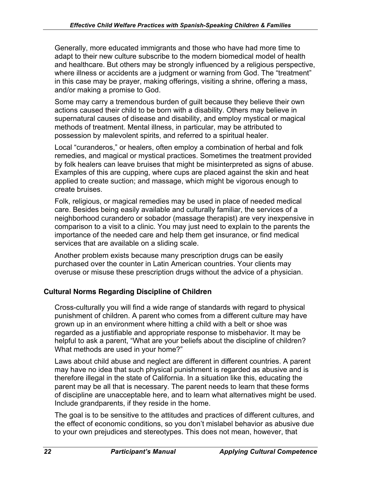Generally, more educated immigrants and those who have had more time to adapt to their new culture subscribe to the modern biomedical model of health and healthcare. But others may be strongly influenced by a religious perspective, where illness or accidents are a judgment or warning from God. The "treatment" in this case may be prayer, making offerings, visiting a shrine, offering a mass, and/or making a promise to God.

Some may carry a tremendous burden of guilt because they believe their own actions caused their child to be born with a disability. Others may believe in supernatural causes of disease and disability, and employ mystical or magical methods of treatment. Mental illness, in particular, may be attributed to possession by malevolent spirits, and referred to a spiritual healer.

Local "curanderos," or healers, often employ a combination of herbal and folk remedies, and magical or mystical practices. Sometimes the treatment provided by folk healers can leave bruises that might be misinterpreted as signs of abuse. Examples of this are cupping, where cups are placed against the skin and heat applied to create suction; and massage, which might be vigorous enough to create bruises.

Folk, religious, or magical remedies may be used in place of needed medical care. Besides being easily available and culturally familiar, the services of a neighborhood curandero or sobador (massage therapist) are very inexpensive in comparison to a visit to a clinic. You may just need to explain to the parents the importance of the needed care and help them get insurance, or find medical services that are available on a sliding scale.

Another problem exists because many prescription drugs can be easily purchased over the counter in Latin American countries. Your clients may overuse or misuse these prescription drugs without the advice of a physician.

# **Cultural Norms Regarding Discipline of Children**

Cross-culturally you will find a wide range of standards with regard to physical punishment of children. A parent who comes from a different culture may have grown up in an environment where hitting a child with a belt or shoe was regarded as a justifiable and appropriate response to misbehavior. It may be helpful to ask a parent, "What are your beliefs about the discipline of children? What methods are used in your home?"

Laws about child abuse and neglect are different in different countries. A parent may have no idea that such physical punishment is regarded as abusive and is therefore illegal in the state of California. In a situation like this, educating the parent may be all that is necessary. The parent needs to learn that these forms of discipline are unacceptable here, and to learn what alternatives might be used. Include grandparents, if they reside in the home.

The goal is to be sensitive to the attitudes and practices of different cultures, and the effect of economic conditions, so you don't mislabel behavior as abusive due to your own prejudices and stereotypes. This does not mean, however, that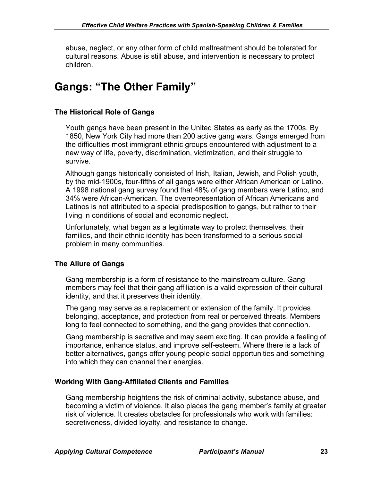abuse, neglect, or any other form of child maltreatment should be tolerated for cultural reasons. Abuse is still abuse, and intervention is necessary to protect children.

# **Gangs: "The Other Family"**

### **The Historical Role of Gangs**

Youth gangs have been present in the United States as early as the 1700s. By 1850, New York City had more than 200 active gang wars. Gangs emerged from the difficulties most immigrant ethnic groups encountered with adjustment to a new way of life, poverty, discrimination, victimization, and their struggle to survive.

Although gangs historically consisted of Irish, Italian, Jewish, and Polish youth, by the mid-1900s, four-fifths of all gangs were either African American or Latino. A 1998 national gang survey found that 48% of gang members were Latino, and 34% were African-American. The overrepresentation of African Americans and Latinos is not attributed to a special predisposition to gangs, but rather to their living in conditions of social and economic neglect.

Unfortunately, what began as a legitimate way to protect themselves, their families, and their ethnic identity has been transformed to a serious social problem in many communities.

#### **The Allure of Gangs**

Gang membership is a form of resistance to the mainstream culture. Gang members may feel that their gang affiliation is a valid expression of their cultural identity, and that it preserves their identity.

The gang may serve as a replacement or extension of the family. It provides belonging, acceptance, and protection from real or perceived threats. Members long to feel connected to something, and the gang provides that connection.

Gang membership is secretive and may seem exciting. It can provide a feeling of importance, enhance status, and improve self-esteem. Where there is a lack of better alternatives, gangs offer young people social opportunities and something into which they can channel their energies.

#### **Working With Gang-Affiliated Clients and Families**

Gang membership heightens the risk of criminal activity, substance abuse, and becoming a victim of violence. It also places the gang member's family at greater risk of violence. It creates obstacles for professionals who work with families: secretiveness, divided loyalty, and resistance to change.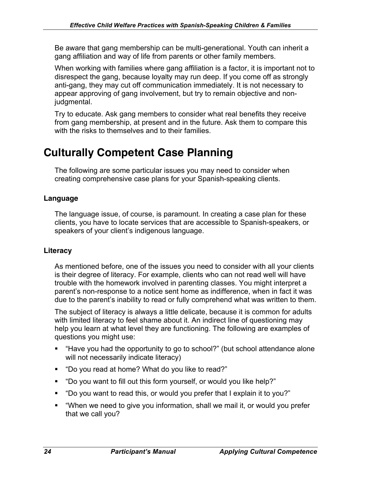Be aware that gang membership can be multi-generational. Youth can inherit a gang affiliation and way of life from parents or other family members.

When working with families where gang affiliation is a factor, it is important not to disrespect the gang, because loyalty may run deep. If you come off as strongly anti-gang, they may cut off communication immediately. It is not necessary to appear approving of gang involvement, but try to remain objective and nonjudgmental.

Try to educate. Ask gang members to consider what real benefits they receive from gang membership, at present and in the future. Ask them to compare this with the risks to themselves and to their families.

# **Culturally Competent Case Planning**

The following are some particular issues you may need to consider when creating comprehensive case plans for your Spanish-speaking clients.

### **Language**

The language issue, of course, is paramount. In creating a case plan for these clients, you have to locate services that are accessible to Spanish-speakers, or speakers of your client's indigenous language.

### **Literacy**

As mentioned before, one of the issues you need to consider with all your clients is their degree of literacy. For example, clients who can not read well will have trouble with the homework involved in parenting classes. You might interpret a parent's non-response to a notice sent home as indifference, when in fact it was due to the parent's inability to read or fully comprehend what was written to them.

The subject of literacy is always a little delicate, because it is common for adults with limited literacy to feel shame about it. An indirect line of questioning may help you learn at what level they are functioning. The following are examples of questions you might use:

- "Have you had the opportunity to go to school?" (but school attendance alone will not necessarily indicate literacy)
- "Do you read at home? What do you like to read?"
- § "Do you want to fill out this form yourself, or would you like help?"
- § "Do you want to read this, or would you prefer that I explain it to you?"
- "When we need to give you information, shall we mail it, or would you prefer that we call you?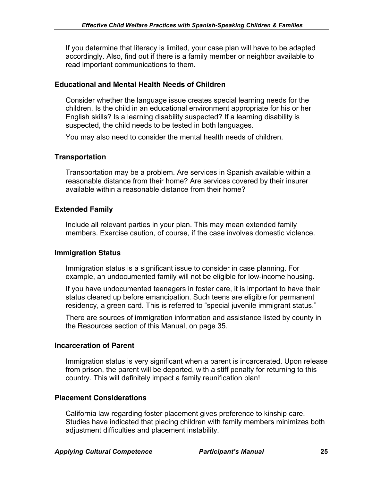If you determine that literacy is limited, your case plan will have to be adapted accordingly. Also, find out if there is a family member or neighbor available to read important communications to them.

### **Educational and Mental Health Needs of Children**

Consider whether the language issue creates special learning needs for the children. Is the child in an educational environment appropriate for his or her English skills? Is a learning disability suspected? If a learning disability is suspected, the child needs to be tested in both languages.

You may also need to consider the mental health needs of children.

### **Transportation**

Transportation may be a problem. Are services in Spanish available within a reasonable distance from their home? Are services covered by their insurer available within a reasonable distance from their home?

### **Extended Family**

Include all relevant parties in your plan. This may mean extended family members. Exercise caution, of course, if the case involves domestic violence.

#### **Immigration Status**

Immigration status is a significant issue to consider in case planning. For example, an undocumented family will not be eligible for low-income housing.

If you have undocumented teenagers in foster care, it is important to have their status cleared up before emancipation. Such teens are eligible for permanent residency, a green card. This is referred to "special juvenile immigrant status."

There are sources of immigration information and assistance listed by county in the Resources section of this Manual, on page 35.

#### **Incarceration of Parent**

Immigration status is very significant when a parent is incarcerated. Upon release from prison, the parent will be deported, with a stiff penalty for returning to this country. This will definitely impact a family reunification plan!

### **Placement Considerations**

California law regarding foster placement gives preference to kinship care. Studies have indicated that placing children with family members minimizes both adjustment difficulties and placement instability.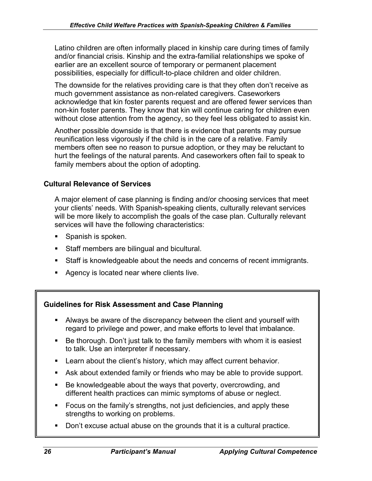Latino children are often informally placed in kinship care during times of family and/or financial crisis. Kinship and the extra-familial relationships we spoke of earlier are an excellent source of temporary or permanent placement possibilities, especially for difficult-to-place children and older children.

The downside for the relatives providing care is that they often don't receive as much government assistance as non-related caregivers. Caseworkers acknowledge that kin foster parents request and are offered fewer services than non-kin foster parents. They know that kin will continue caring for children even without close attention from the agency, so they feel less obligated to assist kin.

Another possible downside is that there is evidence that parents may pursue reunification less vigorously if the child is in the care of a relative. Family members often see no reason to pursue adoption, or they may be reluctant to hurt the feelings of the natural parents. And caseworkers often fail to speak to family members about the option of adopting.

# **Cultural Relevance of Services**

A major element of case planning is finding and/or choosing services that meet your clients' needs. With Spanish-speaking clients, culturally relevant services will be more likely to accomplish the goals of the case plan. Culturally relevant services will have the following characteristics:

- Spanish is spoken.
- Staff members are bilingual and bicultural.
- Staff is knowledgeable about the needs and concerns of recent immigrants.
- Agency is located near where clients live.

# **Guidelines for Risk Assessment and Case Planning**

- § Always be aware of the discrepancy between the client and yourself with regard to privilege and power, and make efforts to level that imbalance.
- Be thorough. Don't just talk to the family members with whom it is easiest to talk. Use an interpreter if necessary.
- Learn about the client's history, which may affect current behavior.
- Ask about extended family or friends who may be able to provide support.
- Be knowledgeable about the ways that poverty, overcrowding, and different health practices can mimic symptoms of abuse or neglect.
- Focus on the family's strengths, not just deficiencies, and apply these strengths to working on problems.
- Don't excuse actual abuse on the grounds that it is a cultural practice.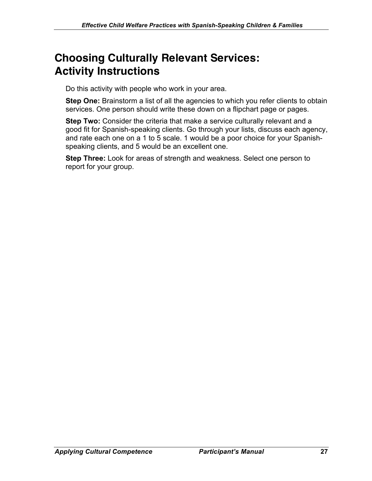# **Choosing Culturally Relevant Services: Activity Instructions**

Do this activity with people who work in your area.

**Step One:** Brainstorm a list of all the agencies to which you refer clients to obtain services. One person should write these down on a flipchart page or pages.

**Step Two:** Consider the criteria that make a service culturally relevant and a good fit for Spanish-speaking clients. Go through your lists, discuss each agency, and rate each one on a 1 to 5 scale. 1 would be a poor choice for your Spanishspeaking clients, and 5 would be an excellent one.

**Step Three:** Look for areas of strength and weakness. Select one person to report for your group.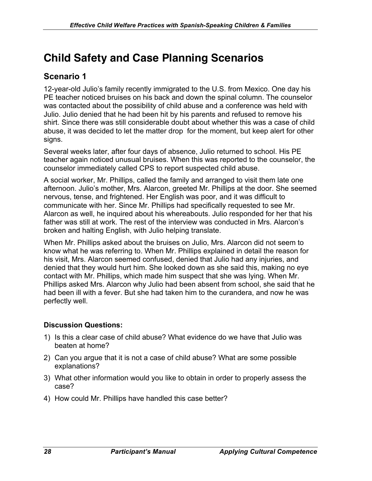# **Child Safety and Case Planning Scenarios**

# **Scenario 1**

12-year-old Julio's family recently immigrated to the U.S. from Mexico. One day his PE teacher noticed bruises on his back and down the spinal column. The counselor was contacted about the possibility of child abuse and a conference was held with Julio. Julio denied that he had been hit by his parents and refused to remove his shirt. Since there was still considerable doubt about whether this was a case of child abuse, it was decided to let the matter drop for the moment, but keep alert for other signs.

Several weeks later, after four days of absence, Julio returned to school. His PE teacher again noticed unusual bruises. When this was reported to the counselor, the counselor immediately called CPS to report suspected child abuse.

A social worker, Mr. Phillips, called the family and arranged to visit them late one afternoon. Julio's mother, Mrs. Alarcon, greeted Mr. Phillips at the door. She seemed nervous, tense, and frightened. Her English was poor, and it was difficult to communicate with her. Since Mr. Phillips had specifically requested to see Mr. Alarcon as well, he inquired about his whereabouts. Julio responded for her that his father was still at work. The rest of the interview was conducted in Mrs. Alarcon's broken and halting English, with Julio helping translate.

When Mr. Phillips asked about the bruises on Julio, Mrs. Alarcon did not seem to know what he was referring to. When Mr. Phillips explained in detail the reason for his visit, Mrs. Alarcon seemed confused, denied that Julio had any injuries, and denied that they would hurt him. She looked down as she said this, making no eye contact with Mr. Phillips, which made him suspect that she was lying. When Mr. Phillips asked Mrs. Alarcon why Julio had been absent from school, she said that he had been ill with a fever. But she had taken him to the curandera, and now he was perfectly well.

### **Discussion Questions:**

- 1) Is this a clear case of child abuse? What evidence do we have that Julio was beaten at home?
- 2) Can you argue that it is not a case of child abuse? What are some possible explanations?
- 3) What other information would you like to obtain in order to properly assess the case?
- 4) How could Mr. Phillips have handled this case better?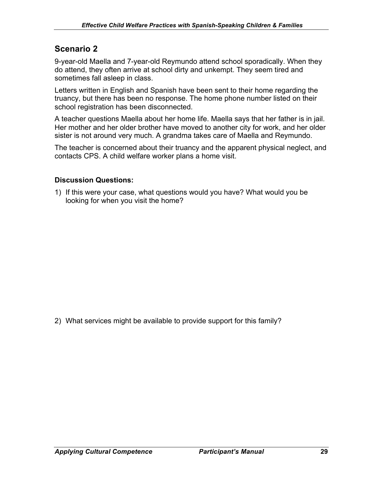# **Scenario 2**

9-year-old Maella and 7-year-old Reymundo attend school sporadically. When they do attend, they often arrive at school dirty and unkempt. They seem tired and sometimes fall asleep in class.

Letters written in English and Spanish have been sent to their home regarding the truancy, but there has been no response. The home phone number listed on their school registration has been disconnected.

A teacher questions Maella about her home life. Maella says that her father is in jail. Her mother and her older brother have moved to another city for work, and her older sister is not around very much. A grandma takes care of Maella and Reymundo.

The teacher is concerned about their truancy and the apparent physical neglect, and contacts CPS. A child welfare worker plans a home visit.

### **Discussion Questions:**

1) If this were your case, what questions would you have? What would you be looking for when you visit the home?

2) What services might be available to provide support for this family?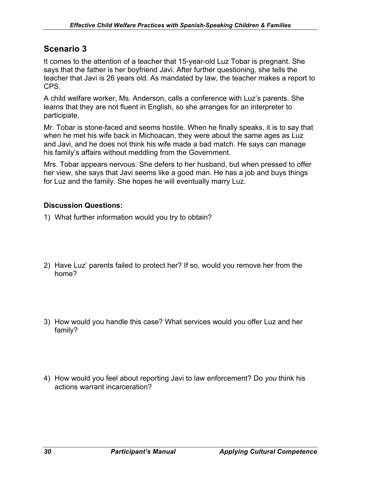# **Scenario 3**

It comes to the attention of a teacher that 15-year-old Luz Tobar is pregnant. She says that the father is her boyfriend Javi. After further questioning, she tells the teacher that Javi is 26 years old. As mandated by law, the teacher makes a report to CPS.

A child welfare worker, Ms. Anderson, calls a conference with Luz's parents. She learns that they are not fluent in English, so she arranges for an interpreter to participate.

Mr. Tobar is stone-faced and seems hostile. When he finally speaks, it is to say that when he met his wife back in Michoacan, they were about the same ages as Luz and Javi, and he does not think his wife made a bad match. He says can manage his family's affairs without meddling from the Government.

Mrs. Tobar appears nervous. She defers to her husband, but when pressed to offer her view, she says that Javi seems like a good man. He has a job and buys things for Luz and the family. She hopes he will eventually marry Luz.

### **Discussion Questions:**

- 1) What further information would you try to obtain?
- 2) Have Luz' parents failed to protect her? If so, would you remove her from the home?
- 3) How would you handle this case? What services would you offer Luz and her family?
- 4) How would you feel about reporting Javi to law enforcement? Do *you* think his actions warrant incarceration?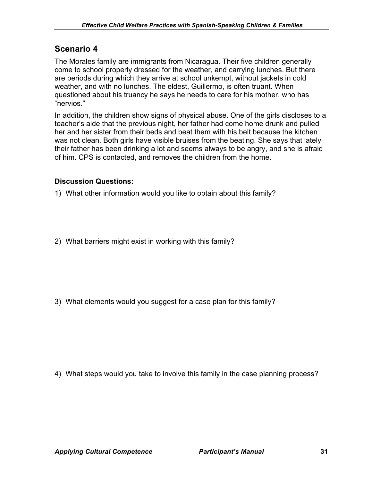# **Scenario 4**

The Morales family are immigrants from Nicaragua. Their five children generally come to school properly dressed for the weather, and carrying lunches. But there are periods during which they arrive at school unkempt, without jackets in cold weather, and with no lunches. The eldest, Guillermo, is often truant. When questioned about his truancy he says he needs to care for his mother, who has "nervios."

In addition, the children show signs of physical abuse. One of the girls discloses to a teacher's aide that the previous night, her father had come home drunk and pulled her and her sister from their beds and beat them with his belt because the kitchen was not clean. Both girls have visible bruises from the beating. She says that lately their father has been drinking a lot and seems always to be angry, and she is afraid of him. CPS is contacted, and removes the children from the home.

#### **Discussion Questions:**

1) What other information would you like to obtain about this family?

2) What barriers might exist in working with this family?

3) What elements would you suggest for a case plan for this family?

4) What steps would you take to involve this family in the case planning process?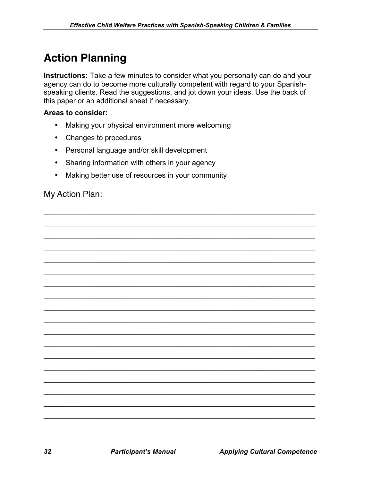# **Action Planning**

**Instructions:** Take a few minutes to consider what you personally can do and your agency can do to become more culturally competent with regard to your Spanishspeaking clients. Read the suggestions, and jot down your ideas. Use the back of this paper or an additional sheet if necessary.

 $\mathcal{L}_\mathcal{L} = \mathcal{L}_\mathcal{L} = \mathcal{L}_\mathcal{L} = \mathcal{L}_\mathcal{L} = \mathcal{L}_\mathcal{L} = \mathcal{L}_\mathcal{L} = \mathcal{L}_\mathcal{L} = \mathcal{L}_\mathcal{L} = \mathcal{L}_\mathcal{L} = \mathcal{L}_\mathcal{L} = \mathcal{L}_\mathcal{L} = \mathcal{L}_\mathcal{L} = \mathcal{L}_\mathcal{L} = \mathcal{L}_\mathcal{L} = \mathcal{L}_\mathcal{L} = \mathcal{L}_\mathcal{L} = \mathcal{L}_\mathcal{L}$  $\mathcal{L}_\mathcal{L} = \mathcal{L}_\mathcal{L} = \mathcal{L}_\mathcal{L} = \mathcal{L}_\mathcal{L} = \mathcal{L}_\mathcal{L} = \mathcal{L}_\mathcal{L} = \mathcal{L}_\mathcal{L} = \mathcal{L}_\mathcal{L} = \mathcal{L}_\mathcal{L} = \mathcal{L}_\mathcal{L} = \mathcal{L}_\mathcal{L} = \mathcal{L}_\mathcal{L} = \mathcal{L}_\mathcal{L} = \mathcal{L}_\mathcal{L} = \mathcal{L}_\mathcal{L} = \mathcal{L}_\mathcal{L} = \mathcal{L}_\mathcal{L}$  $\mathcal{L}_\mathcal{L} = \mathcal{L}_\mathcal{L} + \mathcal{L}_\mathcal{L} + \mathcal{L}_\mathcal{L} + \mathcal{L}_\mathcal{L} + \mathcal{L}_\mathcal{L} + \mathcal{L}_\mathcal{L} + \mathcal{L}_\mathcal{L} + \mathcal{L}_\mathcal{L} + \mathcal{L}_\mathcal{L} + \mathcal{L}_\mathcal{L} + \mathcal{L}_\mathcal{L} + \mathcal{L}_\mathcal{L} + \mathcal{L}_\mathcal{L} + \mathcal{L}_\mathcal{L} + \mathcal{L}_\mathcal{L} + \mathcal{L}_\mathcal{L}$  $\mathcal{L}_\mathcal{L} = \mathcal{L}_\mathcal{L} + \mathcal{L}_\mathcal{L} + \mathcal{L}_\mathcal{L} + \mathcal{L}_\mathcal{L} + \mathcal{L}_\mathcal{L} + \mathcal{L}_\mathcal{L} + \mathcal{L}_\mathcal{L} + \mathcal{L}_\mathcal{L} + \mathcal{L}_\mathcal{L} + \mathcal{L}_\mathcal{L} + \mathcal{L}_\mathcal{L} + \mathcal{L}_\mathcal{L} + \mathcal{L}_\mathcal{L} + \mathcal{L}_\mathcal{L} + \mathcal{L}_\mathcal{L} + \mathcal{L}_\mathcal{L}$  $\mathcal{L}_\mathcal{L} = \mathcal{L}_\mathcal{L} = \mathcal{L}_\mathcal{L} = \mathcal{L}_\mathcal{L} = \mathcal{L}_\mathcal{L} = \mathcal{L}_\mathcal{L} = \mathcal{L}_\mathcal{L} = \mathcal{L}_\mathcal{L} = \mathcal{L}_\mathcal{L} = \mathcal{L}_\mathcal{L} = \mathcal{L}_\mathcal{L} = \mathcal{L}_\mathcal{L} = \mathcal{L}_\mathcal{L} = \mathcal{L}_\mathcal{L} = \mathcal{L}_\mathcal{L} = \mathcal{L}_\mathcal{L} = \mathcal{L}_\mathcal{L}$  $\mathcal{L}_\mathcal{L} = \mathcal{L}_\mathcal{L} = \mathcal{L}_\mathcal{L} = \mathcal{L}_\mathcal{L} = \mathcal{L}_\mathcal{L} = \mathcal{L}_\mathcal{L} = \mathcal{L}_\mathcal{L} = \mathcal{L}_\mathcal{L} = \mathcal{L}_\mathcal{L} = \mathcal{L}_\mathcal{L} = \mathcal{L}_\mathcal{L} = \mathcal{L}_\mathcal{L} = \mathcal{L}_\mathcal{L} = \mathcal{L}_\mathcal{L} = \mathcal{L}_\mathcal{L} = \mathcal{L}_\mathcal{L} = \mathcal{L}_\mathcal{L}$  $\mathcal{L}_\mathcal{L} = \mathcal{L}_\mathcal{L} + \mathcal{L}_\mathcal{L} + \mathcal{L}_\mathcal{L} + \mathcal{L}_\mathcal{L} + \mathcal{L}_\mathcal{L} + \mathcal{L}_\mathcal{L} + \mathcal{L}_\mathcal{L} + \mathcal{L}_\mathcal{L} + \mathcal{L}_\mathcal{L} + \mathcal{L}_\mathcal{L} + \mathcal{L}_\mathcal{L} + \mathcal{L}_\mathcal{L} + \mathcal{L}_\mathcal{L} + \mathcal{L}_\mathcal{L} + \mathcal{L}_\mathcal{L} + \mathcal{L}_\mathcal{L}$  $\mathcal{L}_\mathcal{L} = \mathcal{L}_\mathcal{L} = \mathcal{L}_\mathcal{L} = \mathcal{L}_\mathcal{L} = \mathcal{L}_\mathcal{L} = \mathcal{L}_\mathcal{L} = \mathcal{L}_\mathcal{L} = \mathcal{L}_\mathcal{L} = \mathcal{L}_\mathcal{L} = \mathcal{L}_\mathcal{L} = \mathcal{L}_\mathcal{L} = \mathcal{L}_\mathcal{L} = \mathcal{L}_\mathcal{L} = \mathcal{L}_\mathcal{L} = \mathcal{L}_\mathcal{L} = \mathcal{L}_\mathcal{L} = \mathcal{L}_\mathcal{L}$  $\mathcal{L}_\mathcal{L} = \mathcal{L}_\mathcal{L} = \mathcal{L}_\mathcal{L} = \mathcal{L}_\mathcal{L} = \mathcal{L}_\mathcal{L} = \mathcal{L}_\mathcal{L} = \mathcal{L}_\mathcal{L} = \mathcal{L}_\mathcal{L} = \mathcal{L}_\mathcal{L} = \mathcal{L}_\mathcal{L} = \mathcal{L}_\mathcal{L} = \mathcal{L}_\mathcal{L} = \mathcal{L}_\mathcal{L} = \mathcal{L}_\mathcal{L} = \mathcal{L}_\mathcal{L} = \mathcal{L}_\mathcal{L} = \mathcal{L}_\mathcal{L}$  $\mathcal{L}_\mathcal{L} = \mathcal{L}_\mathcal{L} + \mathcal{L}_\mathcal{L} + \mathcal{L}_\mathcal{L} + \mathcal{L}_\mathcal{L} + \mathcal{L}_\mathcal{L} + \mathcal{L}_\mathcal{L} + \mathcal{L}_\mathcal{L} + \mathcal{L}_\mathcal{L} + \mathcal{L}_\mathcal{L} + \mathcal{L}_\mathcal{L} + \mathcal{L}_\mathcal{L} + \mathcal{L}_\mathcal{L} + \mathcal{L}_\mathcal{L} + \mathcal{L}_\mathcal{L} + \mathcal{L}_\mathcal{L} + \mathcal{L}_\mathcal{L}$  $\mathcal{L}_\mathcal{L} = \mathcal{L}_\mathcal{L} = \mathcal{L}_\mathcal{L} = \mathcal{L}_\mathcal{L} = \mathcal{L}_\mathcal{L} = \mathcal{L}_\mathcal{L} = \mathcal{L}_\mathcal{L} = \mathcal{L}_\mathcal{L} = \mathcal{L}_\mathcal{L} = \mathcal{L}_\mathcal{L} = \mathcal{L}_\mathcal{L} = \mathcal{L}_\mathcal{L} = \mathcal{L}_\mathcal{L} = \mathcal{L}_\mathcal{L} = \mathcal{L}_\mathcal{L} = \mathcal{L}_\mathcal{L} = \mathcal{L}_\mathcal{L}$  $\mathcal{L}_\mathcal{L} = \mathcal{L}_\mathcal{L} = \mathcal{L}_\mathcal{L} = \mathcal{L}_\mathcal{L} = \mathcal{L}_\mathcal{L} = \mathcal{L}_\mathcal{L} = \mathcal{L}_\mathcal{L} = \mathcal{L}_\mathcal{L} = \mathcal{L}_\mathcal{L} = \mathcal{L}_\mathcal{L} = \mathcal{L}_\mathcal{L} = \mathcal{L}_\mathcal{L} = \mathcal{L}_\mathcal{L} = \mathcal{L}_\mathcal{L} = \mathcal{L}_\mathcal{L} = \mathcal{L}_\mathcal{L} = \mathcal{L}_\mathcal{L}$  $\mathcal{L}_\mathcal{L} = \mathcal{L}_\mathcal{L} + \mathcal{L}_\mathcal{L} + \mathcal{L}_\mathcal{L} + \mathcal{L}_\mathcal{L} + \mathcal{L}_\mathcal{L} + \mathcal{L}_\mathcal{L} + \mathcal{L}_\mathcal{L} + \mathcal{L}_\mathcal{L} + \mathcal{L}_\mathcal{L} + \mathcal{L}_\mathcal{L} + \mathcal{L}_\mathcal{L} + \mathcal{L}_\mathcal{L} + \mathcal{L}_\mathcal{L} + \mathcal{L}_\mathcal{L} + \mathcal{L}_\mathcal{L} + \mathcal{L}_\mathcal{L}$  $\mathcal{L}_\mathcal{L} = \mathcal{L}_\mathcal{L} + \mathcal{L}_\mathcal{L} + \mathcal{L}_\mathcal{L} + \mathcal{L}_\mathcal{L} + \mathcal{L}_\mathcal{L} + \mathcal{L}_\mathcal{L} + \mathcal{L}_\mathcal{L} + \mathcal{L}_\mathcal{L} + \mathcal{L}_\mathcal{L} + \mathcal{L}_\mathcal{L} + \mathcal{L}_\mathcal{L} + \mathcal{L}_\mathcal{L} + \mathcal{L}_\mathcal{L} + \mathcal{L}_\mathcal{L} + \mathcal{L}_\mathcal{L} + \mathcal{L}_\mathcal{L}$  $\mathcal{L}_\mathcal{L} = \mathcal{L}_\mathcal{L} = \mathcal{L}_\mathcal{L} = \mathcal{L}_\mathcal{L} = \mathcal{L}_\mathcal{L} = \mathcal{L}_\mathcal{L} = \mathcal{L}_\mathcal{L} = \mathcal{L}_\mathcal{L} = \mathcal{L}_\mathcal{L} = \mathcal{L}_\mathcal{L} = \mathcal{L}_\mathcal{L} = \mathcal{L}_\mathcal{L} = \mathcal{L}_\mathcal{L} = \mathcal{L}_\mathcal{L} = \mathcal{L}_\mathcal{L} = \mathcal{L}_\mathcal{L} = \mathcal{L}_\mathcal{L}$  $\mathcal{L}_\mathcal{L} = \mathcal{L}_\mathcal{L} = \mathcal{L}_\mathcal{L} = \mathcal{L}_\mathcal{L} = \mathcal{L}_\mathcal{L} = \mathcal{L}_\mathcal{L} = \mathcal{L}_\mathcal{L} = \mathcal{L}_\mathcal{L} = \mathcal{L}_\mathcal{L} = \mathcal{L}_\mathcal{L} = \mathcal{L}_\mathcal{L} = \mathcal{L}_\mathcal{L} = \mathcal{L}_\mathcal{L} = \mathcal{L}_\mathcal{L} = \mathcal{L}_\mathcal{L} = \mathcal{L}_\mathcal{L} = \mathcal{L}_\mathcal{L}$  $\mathcal{L}_\mathcal{L} = \mathcal{L}_\mathcal{L} + \mathcal{L}_\mathcal{L} + \mathcal{L}_\mathcal{L} + \mathcal{L}_\mathcal{L} + \mathcal{L}_\mathcal{L} + \mathcal{L}_\mathcal{L} + \mathcal{L}_\mathcal{L} + \mathcal{L}_\mathcal{L} + \mathcal{L}_\mathcal{L} + \mathcal{L}_\mathcal{L} + \mathcal{L}_\mathcal{L} + \mathcal{L}_\mathcal{L} + \mathcal{L}_\mathcal{L} + \mathcal{L}_\mathcal{L} + \mathcal{L}_\mathcal{L} + \mathcal{L}_\mathcal{L}$  $\mathcal{L}_\mathcal{L} = \mathcal{L}_\mathcal{L} = \mathcal{L}_\mathcal{L} = \mathcal{L}_\mathcal{L} = \mathcal{L}_\mathcal{L} = \mathcal{L}_\mathcal{L} = \mathcal{L}_\mathcal{L} = \mathcal{L}_\mathcal{L} = \mathcal{L}_\mathcal{L} = \mathcal{L}_\mathcal{L} = \mathcal{L}_\mathcal{L} = \mathcal{L}_\mathcal{L} = \mathcal{L}_\mathcal{L} = \mathcal{L}_\mathcal{L} = \mathcal{L}_\mathcal{L} = \mathcal{L}_\mathcal{L} = \mathcal{L}_\mathcal{L}$ 

#### **Areas to consider:**

- Making your physical environment more welcoming
- Changes to procedures
- Personal language and/or skill development
- Sharing information with others in your agency
- Making better use of resources in your community

My Action Plan: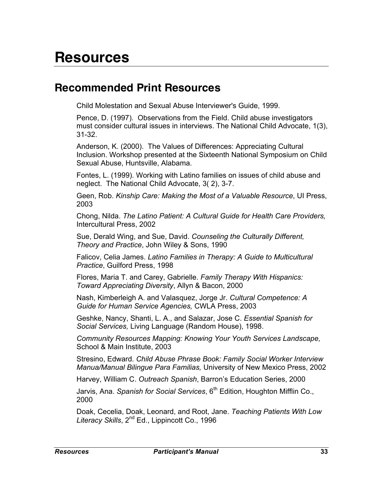# **Resources**

# **Recommended Print Resources**

Child Molestation and Sexual Abuse Interviewer's Guide, 1999.

Pence, D. (1997). Observations from the Field. Child abuse investigators must consider cultural issues in interviews. The National Child Advocate, 1(3), 31-32.

Anderson, K. (2000). The Values of Differences: Appreciating Cultural Inclusion. Workshop presented at the Sixteenth National Symposium on Child Sexual Abuse, Huntsville, Alabama.

Fontes, L. (1999). Working with Latino families on issues of child abuse and neglect. The National Child Advocate, 3( 2), 3-7.

Geen, Rob. *Kinship Care: Making the Most of a Valuable Resource*, UI Press, 2003

Chong, Nilda. *The Latino Patient: A Cultural Guide for Health Care Providers,* Intercultural Press, 2002

Sue, Derald Wing, and Sue, David. *Counseling the Culturally Different, Theory and Practice*, John Wiley & Sons, 1990

Falicov, Celia James. *Latino Families in Therapy: A Guide to Multicultural Practice*, Guilford Press, 1998

Flores, Maria T. and Carey, Gabrielle. *Family Therapy With Hispanics: Toward Appreciating Diversity*, Allyn & Bacon, 2000

Nash, Kimberleigh A. and Valasquez, Jorge Jr. *Cultural Competence: A Guide for Human Service Agencies,* CWLA Press, 2003

Geshke, Nancy, Shanti, L. A., and Salazar, Jose C. *Essential Spanish for Social Services,* Living Language (Random House), 1998.

*Community Resources Mapping: Knowing Your Youth Services Landscape,* School & Main Institute, 2003

Stresino, Edward. *Child Abuse Phrase Book: Family Social Worker Interview Manua/Manual Bilingue Para Familias,* University of New Mexico Press, 2002

Harvey, William C. *Outreach Spanish*, Barron's Education Series, 2000

Jarvis, Ana. *Spanish for Social Services*, 6<sup>th</sup> Edition, Houghton Mifflin Co., 2000

Doak, Cecelia, Doak, Leonard, and Root, Jane. *Teaching Patients With Low Literacy Skills*, 2nd Ed., Lippincott Co., 1996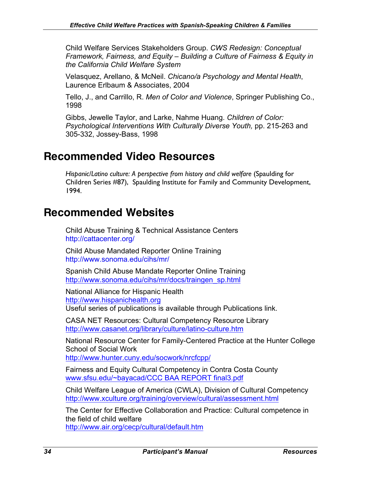Child Welfare Services Stakeholders Group. *CWS Redesign: Conceptual Framework, Fairness, and Equity – Building a Culture of Fairness & Equity in the California Child Welfare System*

Velasquez, Arellano, & McNeil. *Chicano/a Psychology and Mental Health*, Laurence Erlbaum & Associates, 2004

Tello, J., and Carrillo, R. *Men of Color and Violence*, Springer Publishing Co., 1998

Gibbs, Jewelle Taylor, and Larke, Nahme Huang. *Children of Color: Psychological Interventions With Culturally Diverse Youth,* pp. 215-263 and 305-332, Jossey-Bass, 1998

# **Recommended Video Resources**

*Hispanic/Latino culture: A perspective from history and child welfare* (Spaulding for Children Series #87), Spaulding Institute for Family and Community Development, 1994.

# **Recommended Websites**

Child Abuse Training & Technical Assistance Centers http://cattacenter.org/

Child Abuse Mandated Reporter Online Training http://www.sonoma.edu/cihs/mr/

Spanish Child Abuse Mandate Reporter Online Training http://www.sonoma.edu/cihs/mr/docs/traingen\_sp.html

National Alliance for Hispanic Health http://www.hispanichealth.org Useful series of publications is available through Publications link.

CASA NET Resources: Cultural Competency Resource Library http://www.casanet.org/library/culture/latino-culture.htm

National Resource Center for Family-Centered Practice at the Hunter College School of Social Work

http://www.hunter.cuny.edu/socwork/nrcfcpp/

Fairness and Equity Cultural Competency in Contra Costa County www.sfsu.edu/~bayacad/CCC BAA REPORT final3.pdf

Child Welfare League of America (CWLA), Division of Cultural Competency http://www.xculture.org/training/overview/cultural/assessment.html

The Center for Effective Collaboration and Practice: Cultural competence in the field of child welfare

http://www.air.org/cecp/cultural/default.htm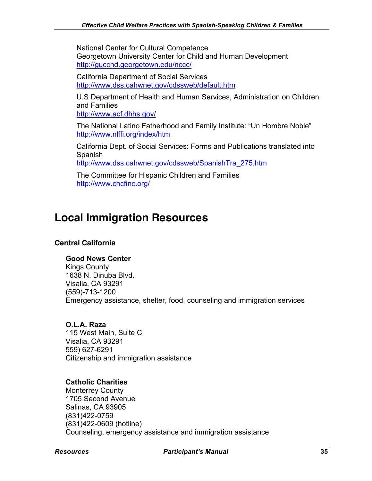National Center for Cultural Competence Georgetown University Center for Child and Human Development http://gucchd.georgetown.edu/nccc/

California Department of Social Services http://www.dss.cahwnet.gov/cdssweb/default.htm

U.S Department of Health and Human Services, Administration on Children and Families

http://www.acf.dhhs.gov/

The National Latino Fatherhood and Family Institute: "Un Hombre Noble" http://www.nlffi.org/index/htm

California Dept. of Social Services: Forms and Publications translated into Spanish

http://www.dss.cahwnet.gov/cdssweb/SpanishTra\_275.htm

The Committee for Hispanic Children and Families http://www.chcfinc.org/

# **Local Immigration Resources**

### **Central California**

#### **Good News Center**

Kings County 1638 N. Dinuba Blvd. Visalia, CA 93291 (559)-713-1200 Emergency assistance, shelter, food, counseling and immigration services

#### **O.L.A. Raza**

115 West Main, Suite C Visalia, CA 93291 559) 627-6291 Citizenship and immigration assistance

#### **Catholic Charities**

Monterrey County 1705 Second Avenue Salinas, CA 93905 (831)422-0759 (831)422-0609 (hotline) Counseling, emergency assistance and immigration assistance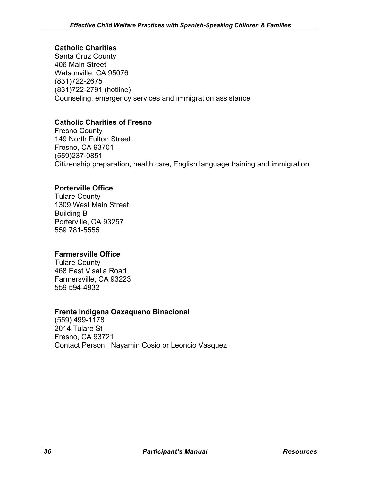### **Catholic Charities**

Santa Cruz County 406 Main Street Watsonville, CA 95076 (831)722-2675 (831)722-2791 (hotline) Counseling, emergency services and immigration assistance

#### **Catholic Charities of Fresno**

Fresno County 149 North Fulton Street Fresno, CA 93701 (559)237-0851 Citizenship preparation, health care, English language training and immigration

#### **Porterville Office**

Tulare County 1309 West Main Street Building B Porterville, CA 93257 559 781-5555

#### **Farmersville Office**

Tulare County 468 East Visalia Road Farmersville, CA 93223 559 594-4932

#### **Frente Indigena Oaxaqueno Binacional**

(559) 499-1178 2014 Tulare St Fresno, CA 93721 Contact Person: Nayamin Cosio or Leoncio Vasquez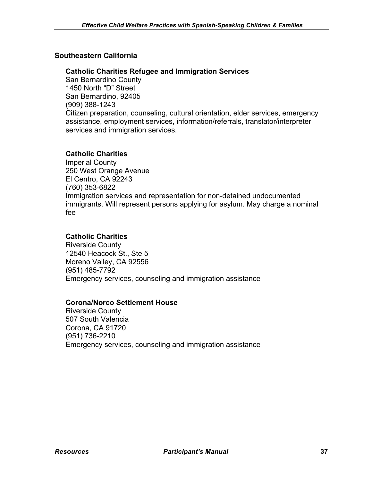#### **Southeastern California**

#### **Catholic Charities Refugee and Immigration Services**

San Bernardino County 1450 North "D" Street San Bernardino, 92405 (909) 388-1243 Citizen preparation, counseling, cultural orientation, elder services, emergency assistance, employment services, information/referrals, translator/interpreter services and immigration services.

#### **Catholic Charities**

Imperial County 250 West Orange Avenue El Centro, CA 92243 (760) 353-6822 Immigration services and representation for non-detained undocumented immigrants. Will represent persons applying for asylum. May charge a nominal fee

#### **Catholic Charities**

Riverside County 12540 Heacock St., Ste 5 Moreno Valley, CA 92556 (951) 485-7792 Emergency services, counseling and immigration assistance

#### **Corona/Norco Settlement House**

Riverside County 507 South Valencia Corona, CA 91720 (951) 736-2210 Emergency services, counseling and immigration assistance